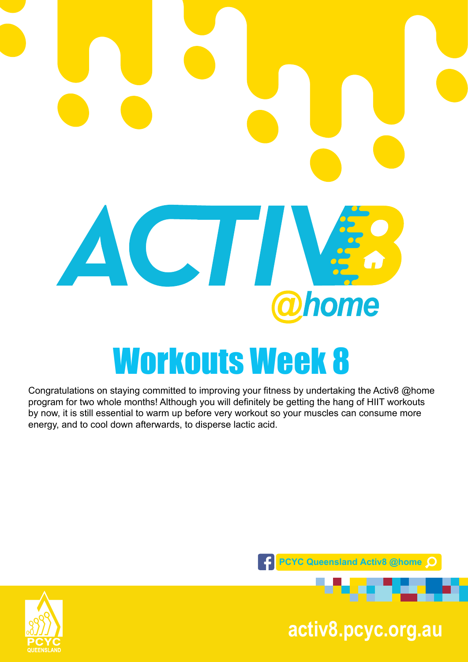

Congratulations on staying committed to improving your fitness by undertaking the Activ8 @home program for two whole months! Although you will definitely be getting the hang of HIIT workouts by now, it is still essential to warm up before very workout so your muscles can consume more energy, and to cool down afterwards, to disperse lactic acid.



**pcyc.org.au activ8.pcyc.org.au**

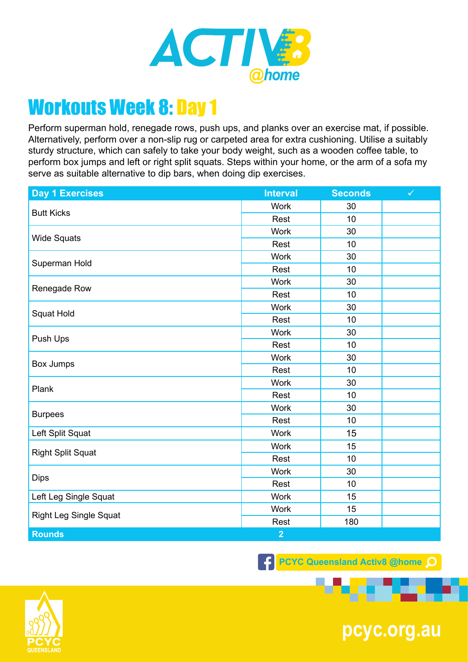

Perform superman hold, renegade rows, push ups, and planks over an exercise mat, if possible. Alternatively, perform over a non-slip rug or carpeted area for extra cushioning. Utilise a suitably sturdy structure, which can safely to take your body weight, such as a wooden coffee table, to perform box jumps and left or right split squats. Steps within your home, or the arm of a sofa my serve as suitable alternative to dip bars, when doing dip exercises.

| <b>Day 1 Exercises</b>        | <b>Interval</b> | <b>Seconds</b> | $\checkmark$ |
|-------------------------------|-----------------|----------------|--------------|
| <b>Butt Kicks</b>             | <b>Work</b>     | 30             |              |
|                               | Rest            | 10             |              |
| <b>Wide Squats</b>            | <b>Work</b>     | 30             |              |
|                               | Rest            | 10             |              |
| Superman Hold                 | <b>Work</b>     | 30             |              |
|                               | Rest            | 10             |              |
| Renegade Row                  | <b>Work</b>     | 30             |              |
|                               | Rest            | 10             |              |
| Squat Hold                    | <b>Work</b>     | 30             |              |
|                               | Rest            | 10             |              |
|                               | <b>Work</b>     | 30             |              |
| Push Ups                      | Rest            | 10             |              |
|                               | <b>Work</b>     | 30             |              |
| Box Jumps                     | Rest            | 10             |              |
| Plank                         | <b>Work</b>     | 30             |              |
|                               | Rest            | 10             |              |
| <b>Burpees</b>                | <b>Work</b>     | 30             |              |
|                               | Rest            | 10             |              |
| Left Split Squat              | <b>Work</b>     | 15             |              |
| <b>Right Split Squat</b>      | <b>Work</b>     | 15             |              |
|                               | Rest            | 10             |              |
| <b>Dips</b>                   | <b>Work</b>     | 30             |              |
|                               | Rest            | 10             |              |
| Left Leg Single Squat         | <b>Work</b>     | 15             |              |
| <b>Right Leg Single Squat</b> | Work            | 15             |              |
|                               | Rest            | 180            |              |
| <b>Rounds</b>                 | $\overline{2}$  |                |              |

**F** PCYC Queensland Activ8 @home Q



**pcyc.org.au**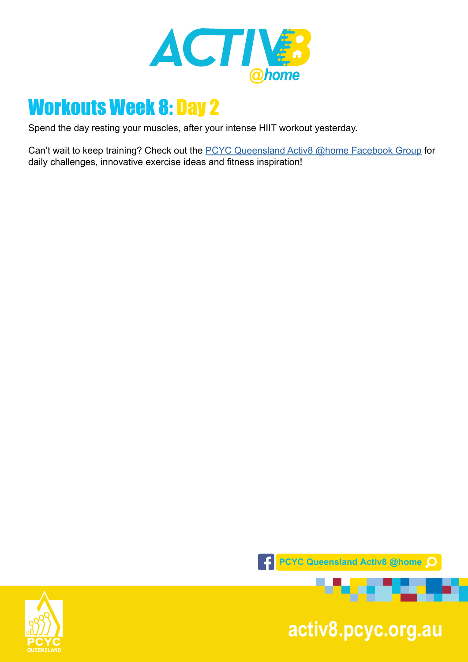

Spend the day resting your muscles, after your intense HIIT workout yesterday.

Can't wait to keep training? Check out the **PCYC Queensland Activ8 @home Facebook Group** for daily challenges, innovative exercise ideas and fitness inspiration!



**pcyc.org.au activ8.pcyc.org.au**

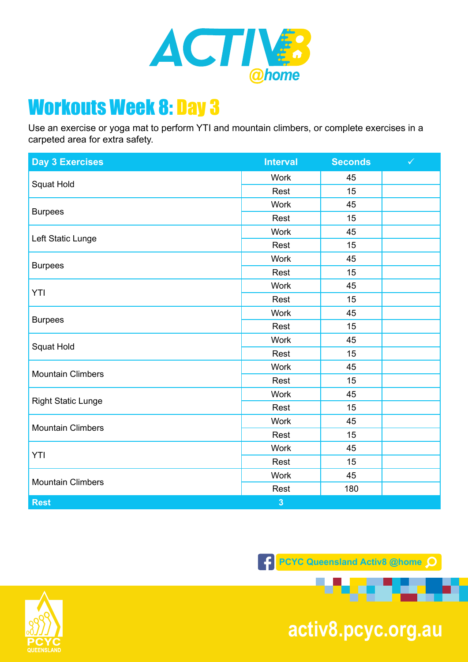

Use an exercise or yoga mat to perform YTI and mountain climbers, or complete exercises in a carpeted area for extra safety.

| <b>Day 3 Exercises</b>    | <b>Interval</b> | <b>Seconds</b> | $\checkmark$ |
|---------------------------|-----------------|----------------|--------------|
| Squat Hold                | <b>Work</b>     | 45             |              |
|                           | Rest            | 15             |              |
| <b>Burpees</b>            | <b>Work</b>     | 45             |              |
|                           | Rest            | 15             |              |
| Left Static Lunge         | <b>Work</b>     | 45             |              |
|                           | Rest            | 15             |              |
| <b>Burpees</b>            | <b>Work</b>     | 45             |              |
|                           | Rest            | 15             |              |
| YTI                       | <b>Work</b>     | 45             |              |
|                           | Rest            | 15             |              |
|                           | <b>Work</b>     | 45             |              |
| <b>Burpees</b>            | Rest            | 15             |              |
|                           | <b>Work</b>     | 45             |              |
| Squat Hold                | Rest            | 15             |              |
| <b>Mountain Climbers</b>  | Work            | 45             |              |
|                           | Rest            | 15             |              |
| <b>Right Static Lunge</b> | <b>Work</b>     | 45             |              |
|                           | Rest            | 15             |              |
| <b>Mountain Climbers</b>  | <b>Work</b>     | 45             |              |
|                           | Rest            | 15             |              |
| YTI                       | <b>Work</b>     | 45             |              |
|                           | Rest            | 15             |              |
| <b>Mountain Climbers</b>  | <b>Work</b>     | 45             |              |
|                           | Rest            | 180            |              |
| <b>Rest</b>               | $\overline{3}$  |                |              |





**pcyc.org.au activ8.pcyc.org.au**

**1999 1999** 

æ.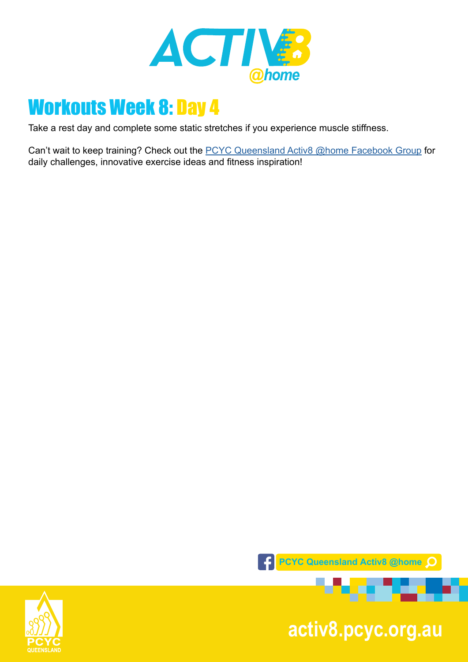

Take a rest day and complete some static stretches if you experience muscle stiffness.

Can't wait to keep training? Check out the **PCYC Queensland Activ8 @home Facebook Group** for daily challenges, innovative exercise ideas and fitness inspiration!



**pcyc.org.au activ8.pcyc.org.au**

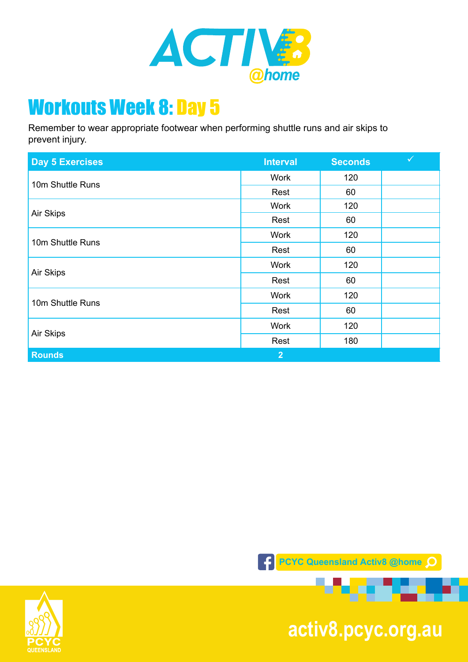

Remember to wear appropriate footwear when performing shuttle runs and air skips to prevent injury.

| <b>Day 5 Exercises</b> | <b>Interval</b> | <b>Seconds</b> | $\checkmark$ |
|------------------------|-----------------|----------------|--------------|
| 10m Shuttle Runs       | Work            | 120            |              |
|                        | Rest            | 60             |              |
| Air Skips              | <b>Work</b>     | 120            |              |
|                        | Rest            | 60             |              |
| 10m Shuttle Runs       | Work            | 120            |              |
|                        | Rest            | 60             |              |
| Air Skips              | <b>Work</b>     | 120            |              |
|                        | Rest            | 60             |              |
| 10m Shuttle Runs       | <b>Work</b>     | 120            |              |
|                        | Rest            | 60             |              |
| Air Skips              | <b>Work</b>     | 120            |              |
|                        | Rest            | 180            |              |
| <b>Rounds</b>          | 2 <sup>1</sup>  |                |              |





**pcyc.org.au activ8.pcyc.org.au**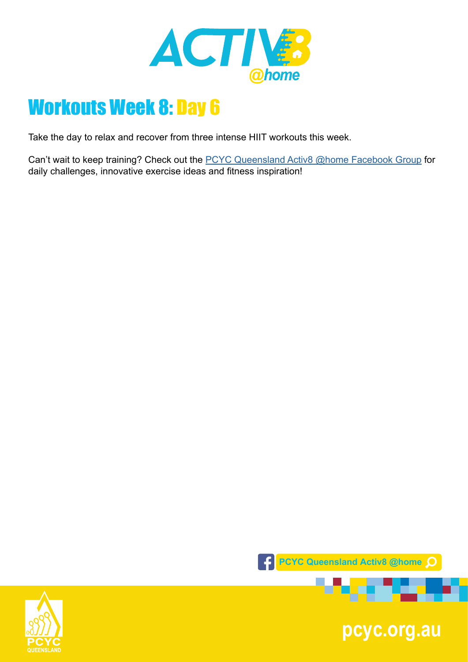

Take the day to relax and recover from three intense HIIT workouts this week.

Can't wait to keep training? Check out the [PCYC Queensland Activ8 @home Facebook Group](https://www.facebook.com/groups/2652320985090996/) for daily challenges, innovative exercise ideas and fitness inspiration!